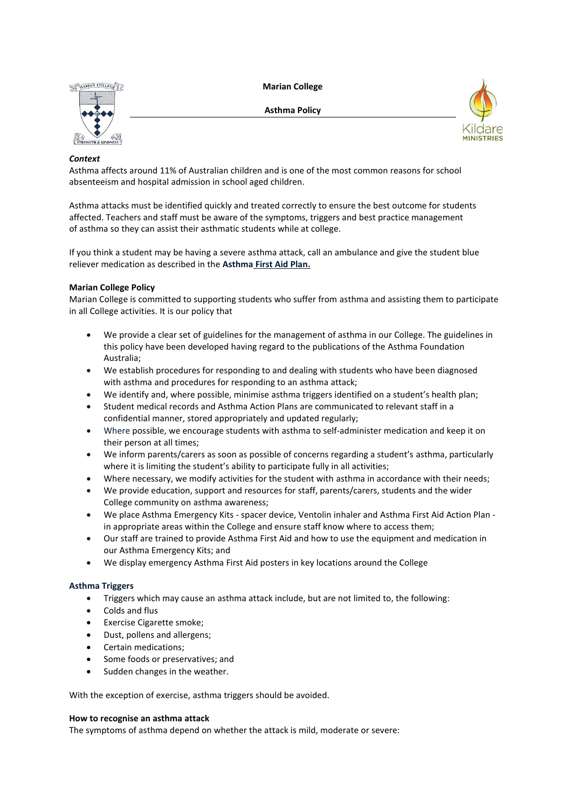**Marian College**



**Asthma Policy**



# *Context*

Asthma affects around 11% of Australian children and is one of the most common reasons for school absenteeism and hospital admission in school aged children.

Asthma attacks must be identified quickly and treated correctly to ensure the best outcome for students affected. Teachers and staff must be aware of the symptoms, triggers and best practice management of asthma so they can assist their asthmatic students while at college.

If you think a student may be having a severe asthma attack, call an ambulance and give the student blue reliever medication as described in the **Asthma [First Aid Plan.](https://mariansw.cspace.net.au/Assets/505/1/AsthmaatSchoolforSchoolStaff.pdf)**

# **Marian College Policy**

Marian College is committed to supporting students who suffer from asthma and assisting them to participate in all College activities. It is our policy that

- We provide a clear set of guidelines for the management of asthma in our College. The guidelines in this policy have been developed having regard to the publications of the Asthma Foundation Australia;
- We establish procedures for responding to and dealing with students who have been diagnosed with asthma and procedures for responding to an asthma attack;
- We identify and, where possible, minimise asthma triggers identified on a student's health plan;
- Student medical records and Asthma Action Plans are communicated to relevant staff in a confidential manner, stored appropriately and updated regularly;
- Where possible, we encourage students with asthma to self-administer medication and keep it on their person at all times;
- We inform parents/carers as soon as possible of concerns regarding a student's asthma, particularly where it is limiting the student's ability to participate fully in all activities;
- Where necessary, we modify activities for the student with asthma in accordance with their needs;
- We provide education, support and resources for staff, parents/carers, students and the wider College community on asthma awareness;
- We place Asthma Emergency Kits spacer device, Ventolin inhaler and Asthma First Aid Action Plan in appropriate areas within the College and ensure staff know where to access them;
- Our staff are trained to provide Asthma First Aid and how to use the equipment and medication in our Asthma Emergency Kits; and
- We display emergency Asthma First Aid posters in key locations around the College

# **Asthma Triggers**

- Triggers which may cause an asthma attack include, but are not limited to, the following:
- Colds and flus
- Exercise Cigarette smoke;
- Dust, pollens and allergens;
- Certain medications;
- Some foods or preservatives; and
- Sudden changes in the weather.

With the exception of exercise, asthma triggers should be avoided.

# **How to recognise an asthma attack**

The symptoms of asthma depend on whether the attack is mild, moderate or severe: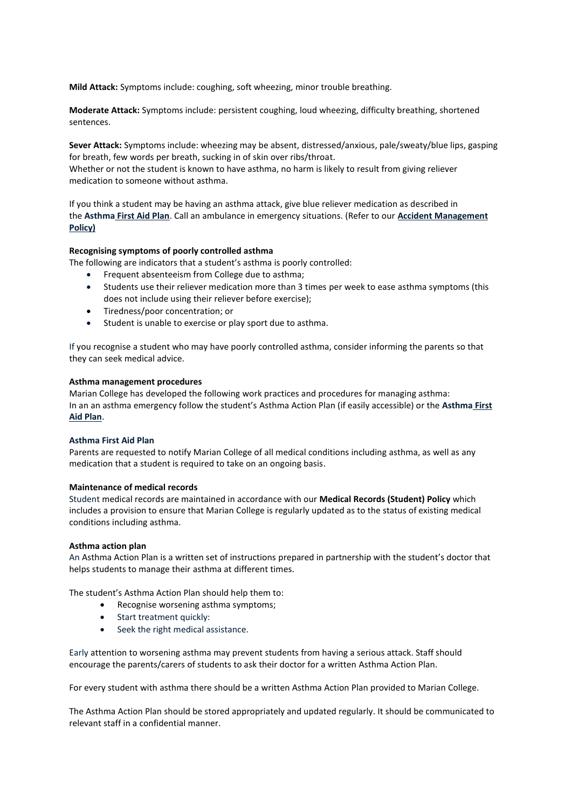**Mild Attack:** Symptoms include: coughing, soft wheezing, minor trouble breathing.

**Moderate Attack:** Symptoms include: persistent coughing, loud wheezing, difficulty breathing, shortened sentences.

**Sever Attack:** Symptoms include: wheezing may be absent, distressed/anxious, pale/sweaty/blue lips, gasping for breath, few words per breath, sucking in of skin over ribs/throat. Whether or not the student is known to have asthma, no harm is likely to result from giving reliever medication to someone without asthma.

If you think a student may be having an asthma attack, give blue reliever medication as described in the **Asthma [First Aid Plan](https://mariansw.cspace.net.au/Assets/505/1/AsthmaatSchoolforSchoolStaff.pdf)**. Call an ambulance in emergency situations. (Refer to our **[Accident Management](https://mariansw.cspace.net.au/AccidentManagement)  [Policy\)](https://mariansw.cspace.net.au/AccidentManagement)**

## **Recognising symptoms of poorly controlled asthma**

The following are indicators that a student's asthma is poorly controlled:

- Frequent absenteeism from College due to asthma;
- Students use their reliever medication more than 3 times per week to ease asthma symptoms (this does not include using their reliever before exercise);
- Tiredness/poor concentration; or
- Student is unable to exercise or play sport due to asthma.

If you recognise a student who may have poorly controlled asthma, consider informing the parents so that they can seek medical advice.

## **Asthma management procedures**

Marian College has developed the following work practices and procedures for managing asthma: In an an asthma emergency follow the student's Asthma Action Plan (if easily accessible) or the **[Asthma](https://mariansw.cspace.net.au/Assets/505/1/AsthmaatSchoolforSchoolStaff.pdf) First [Aid Plan](https://mariansw.cspace.net.au/Assets/505/1/AsthmaatSchoolforSchoolStaff.pdf)**.

## **Asthma First Aid Plan**

Parents are requested to notify Marian College of all medical conditions including asthma, as well as any medication that a student is required to take on an ongoing basis.

## **Maintenance of medical records**

Student medical records are maintained in accordance with our **Medical Records (Student) Policy** which includes a provision to ensure that Marian College is regularly updated as to the status of existing medical conditions including asthma.

## **Asthma action plan**

An Asthma Action Plan is a written set of instructions prepared in partnership with the student's doctor that helps students to manage their asthma at different times.

The student's Asthma Action Plan should help them to:

- Recognise worsening asthma symptoms;
- Start treatment quickly:
- Seek the right medical assistance.

Early attention to worsening asthma may prevent students from having a serious attack. Staff should encourage the parents/carers of students to ask their doctor for a written Asthma Action Plan.

For every student with asthma there should be a written Asthma Action Plan provided to Marian College.

The Asthma Action Plan should be stored appropriately and updated regularly. It should be communicated to relevant staff in a confidential manner.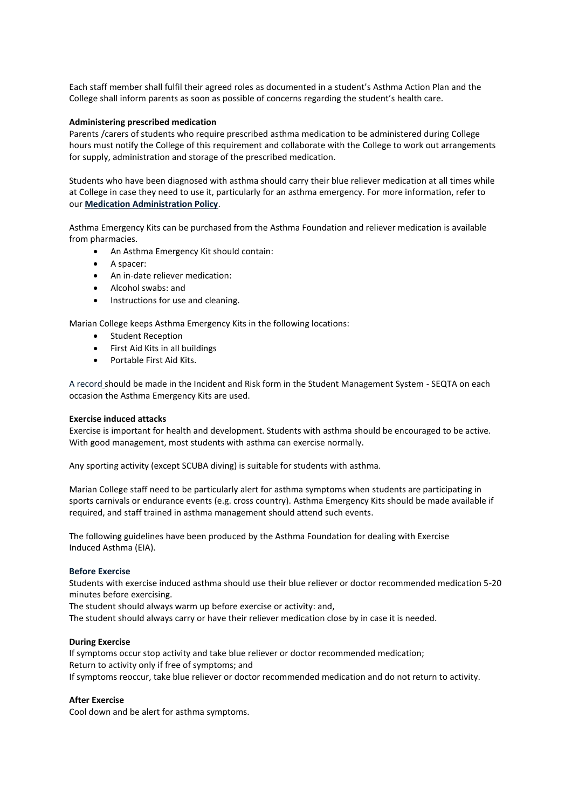Each staff member shall fulfil their agreed roles as documented in a student's Asthma Action Plan and the College shall inform parents as soon as possible of concerns regarding the student's health care.

## **Administering prescribed medication**

Parents /carers of students who require prescribed asthma medication to be administered during College hours must notify the College of this requirement and collaborate with the College to work out arrangements for supply, administration and storage of the prescribed medication.

Students who have been diagnosed with asthma should carry their blue reliever medication at all times while at College in case they need to use it, particularly for an asthma emergency. For more information, refer to our **[Medication Administration Policy](https://mariansw.cspace.net.au/MedicationAdministration)**.

Asthma Emergency Kits can be purchased from the Asthma Foundation and reliever medication is available from pharmacies.

- An Asthma Emergency Kit should contain:
- A spacer:
- An in-date reliever medication:
- Alcohol swabs: and
- Instructions for use and cleaning.

Marian College keeps Asthma Emergency Kits in the following locations:

- Student Reception
- First Aid Kits in all buildings
- Portable First Aid Kits.

A record should be made in the Incident and Risk form in the Student Management System - SEQTA on each occasion the Asthma Emergency Kits are used.

## **Exercise induced attacks**

Exercise is important for health and development. Students with asthma should be encouraged to be active. With good management, most students with asthma can exercise normally.

Any sporting activity (except SCUBA diving) is suitable for students with asthma.

Marian College staff need to be particularly alert for asthma symptoms when students are participating in sports carnivals or endurance events (e.g. cross country). Asthma Emergency Kits should be made available if required, and staff trained in asthma management should attend such events.

The following guidelines have been produced by the Asthma Foundation for dealing with Exercise Induced Asthma (EIA).

## **Before Exercise**

Students with exercise induced asthma should use their blue reliever or doctor recommended medication 5-20 minutes before exercising.

The student should always warm up before exercise or activity: and,

The student should always carry or have their reliever medication close by in case it is needed.

## **During Exercise**

If symptoms occur stop activity and take blue reliever or doctor recommended medication; Return to activity only if free of symptoms; and If symptoms reoccur, take blue reliever or doctor recommended medication and do not return to activity.

## **After Exercise**

Cool down and be alert for asthma symptoms.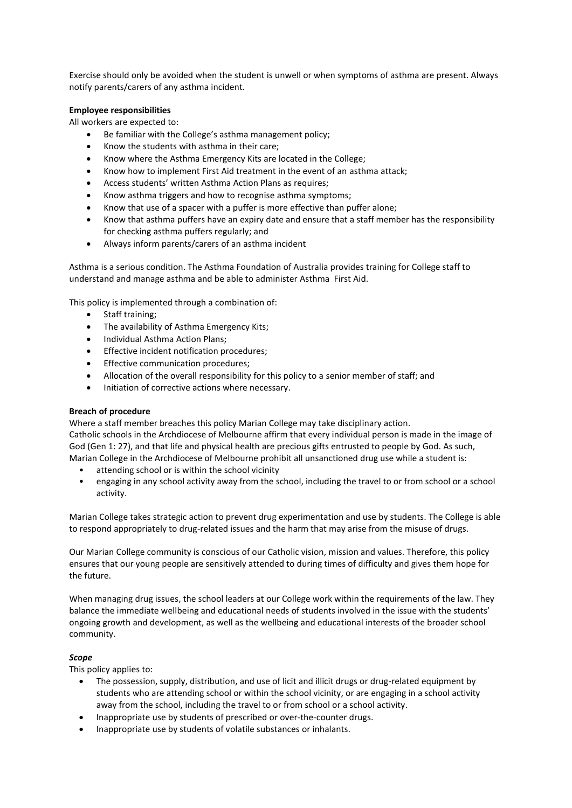Exercise should only be avoided when the student is unwell or when symptoms of asthma are present. Always notify parents/carers of any asthma incident.

# **Employee responsibilities**

All workers are expected to:

- Be familiar with the College's asthma management policy;
- Know the students with asthma in their care;
- Know where the Asthma Emergency Kits are located in the College;
- Know how to implement First Aid treatment in the event of an asthma attack;
- Access students' written Asthma Action Plans as requires;
- Know asthma triggers and how to recognise asthma symptoms;
- Know that use of a spacer with a puffer is more effective than puffer alone;
- Know that asthma puffers have an expiry date and ensure that a staff member has the responsibility for checking asthma puffers regularly; and
- Always inform parents/carers of an asthma incident

Asthma is a serious condition. The Asthma Foundation of Australia provides training for College staff to understand and manage asthma and be able to administer Asthma First Aid.

This policy is implemented through a combination of:

- Staff training;
- The availability of Asthma Emergency Kits;
- Individual Asthma Action Plans;
- Effective incident notification procedures;
- Effective communication procedures;
- Allocation of the overall responsibility for this policy to a senior member of staff; and
- Initiation of corrective actions where necessary.

# **Breach of procedure**

Where a staff member breaches this policy Marian College may take disciplinary action. Catholic schools in the Archdiocese of Melbourne affirm that every individual person is made in the image of God (Gen 1: 27), and that life and physical health are precious gifts entrusted to people by God. As such, Marian College in the Archdiocese of Melbourne prohibit all unsanctioned drug use while a student is:

- attending school or is within the school vicinity
- engaging in any school activity away from the school, including the travel to or from school or a school activity.

Marian College takes strategic action to prevent drug experimentation and use by students. The College is able to respond appropriately to drug-related issues and the harm that may arise from the misuse of drugs.

Our Marian College community is conscious of our Catholic vision, mission and values. Therefore, this policy ensures that our young people are sensitively attended to during times of difficulty and gives them hope for the future.

When managing drug issues, the school leaders at our College work within the requirements of the law. They balance the immediate wellbeing and educational needs of students involved in the issue with the students' ongoing growth and development, as well as the wellbeing and educational interests of the broader school community.

# *Scope*

This policy applies to:

- The possession, supply, distribution, and use of licit and illicit drugs or drug-related equipment by students who are attending school or within the school vicinity, or are engaging in a school activity away from the school, including the travel to or from school or a school activity.
- Inappropriate use by students of prescribed or over-the-counter drugs.
- Inappropriate use by students of volatile substances or inhalants.